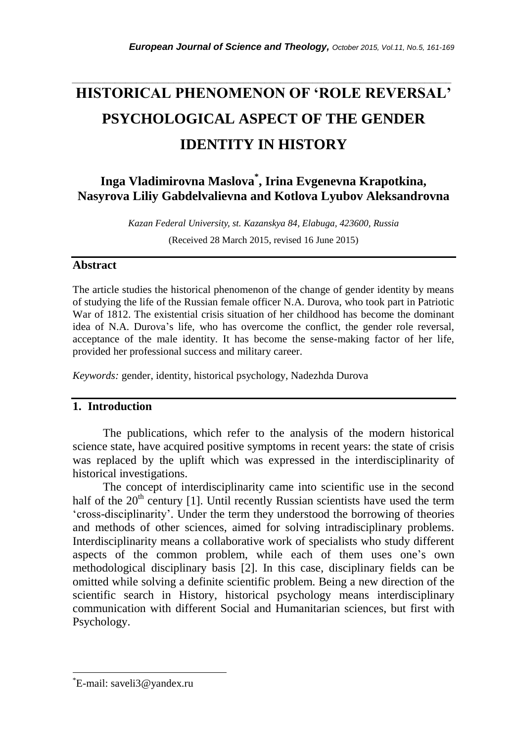# **HISTORICAL PHENOMENON OF 'ROLE REVERSAL' PSYCHOLOGICAL ASPECT OF THE GENDER IDENTITY IN HISTORY**

*\_\_\_\_\_\_\_\_\_\_\_\_\_\_\_\_\_\_\_\_\_\_\_\_\_\_\_\_\_\_\_\_\_\_\_\_\_\_\_\_\_\_\_\_\_\_\_\_\_\_\_\_\_\_\_\_\_\_\_\_\_\_\_\_\_\_\_\_\_\_\_*

## **Inga Vladimirovna Maslova\* , Irina Evgenevna Krapotkina, Nasyrova Liliy Gabdelvalievna and Kotlova Lyubov Aleksandrovna**

*Kazan Federal University, st. Kazanskya 84, Elabuga, 423600, Russia*

(Received 28 March 2015, revised 16 June 2015)

## **Abstract**

The article studies the historical phenomenon of the change of gender identity by means of studying the life of the Russian female officer N.A. Durova, who took part in Patriotic War of 1812. The existential crisis situation of her childhood has become the dominant idea of N.A. Durova"s life, who has overcome the conflict, the gender role reversal, acceptance of the male identity. It has become the sense-making factor of her life, provided her professional success and military career.

*Keywords:* gender, identity, historical psychology, Nadezhda Durova

## **1. Introduction**

The publications, which refer to the analysis of the modern historical science state, have acquired positive symptoms in recent years: the state of crisis was replaced by the uplift which was expressed in the interdisciplinarity of historical investigations.

The concept of interdisciplinarity came into scientific use in the second half of the  $20<sup>th</sup>$  century [1]. Until recently Russian scientists have used the term "cross-disciplinarity". Under the term they understood the borrowing of theories and methods of other sciences, aimed for solving intradisciplinary problems. Interdisciplinarity means a collaborative work of specialists who study different aspects of the common problem, while each of them uses one's own methodological disciplinary basis [2]. In this case, disciplinary fields can be omitted while solving a definite scientific problem. Being a new direction of the scientific search in History, historical psychology means interdisciplinary communication with different Social and Humanitarian sciences, but first with Psychology.

l

<sup>\*</sup>E-mail: saveli3@yandex.ru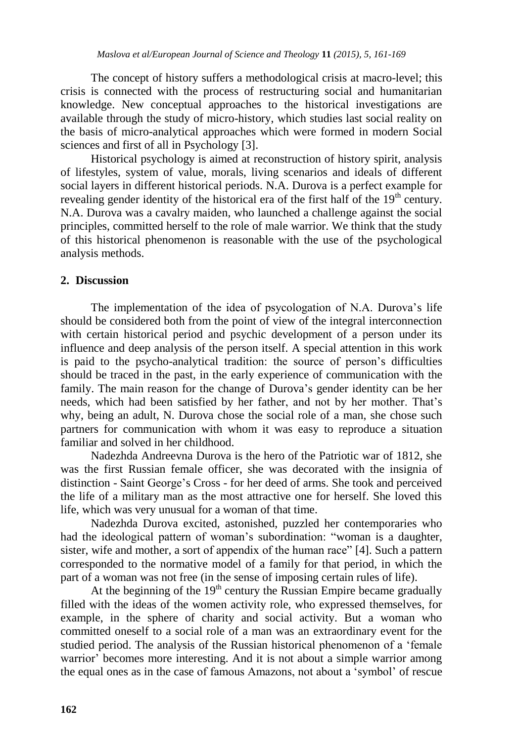The concept of history suffers a methodological crisis at macro-level; this crisis is connected with the process of restructuring social and humanitarian knowledge. New conceptual approaches to the historical investigations are available through the study of micro-history, which studies last social reality on the basis of micro-analytical approaches which were formed in modern Social sciences and first of all in Psychology [3].

Historical psychology is aimed at reconstruction of history spirit, analysis of lifestyles, system of value, morals, living scenarios and ideals of different social layers in different historical periods. N.A. Durova is a perfect example for revealing gender identity of the historical era of the first half of the  $19<sup>th</sup>$  century. N.A. Durova was a cavalry maiden, who launched a challenge against the social principles, committed herself to the role of male warrior. We think that the study of this historical phenomenon is reasonable with the use of the psychological analysis methods.

## **2. Discussion**

The implementation of the idea of psycologation of N.A. Durova"s life should be considered both from the point of view of the integral interconnection with certain historical period and psychic development of a person under its influence and deep analysis of the person itself. A special attention in this work is paid to the psycho-analytical tradition: the source of person's difficulties should be traced in the past, in the early experience of communication with the family. The main reason for the change of Durova"s gender identity can be her needs, which had been satisfied by her father, and not by her mother. That"s why, being an adult, N. Durova chose the social role of a man, she chose such partners for communication with whom it was easy to reproduce a situation familiar and solved in her childhood.

Nadezhda Andreevna Durova is the hero of the Patriotic war of 1812, she was the first Russian female officer, she was decorated with the insignia of distinction - Saint George"s Cross - for her deed of arms. She took and perceived the life of a military man as the most attractive one for herself. She loved this life, which was very unusual for a woman of that time.

Nadezhda Durova excited, astonished, puzzled her contemporaries who had the ideological pattern of woman's subordination: "woman is a daughter, sister, wife and mother, a sort of appendix of the human race" [4]. Such a pattern corresponded to the normative model of a family for that period, in which the part of a woman was not free (in the sense of imposing certain rules of life).

At the beginning of the  $19<sup>th</sup>$  century the Russian Empire became gradually filled with the ideas of the women activity role, who expressed themselves, for example, in the sphere of charity and social activity. But a woman who committed oneself to a social role of a man was an extraordinary event for the studied period. The analysis of the Russian historical phenomenon of a "female warrior' becomes more interesting. And it is not about a simple warrior among the equal ones as in the case of famous Amazons, not about a "symbol" of rescue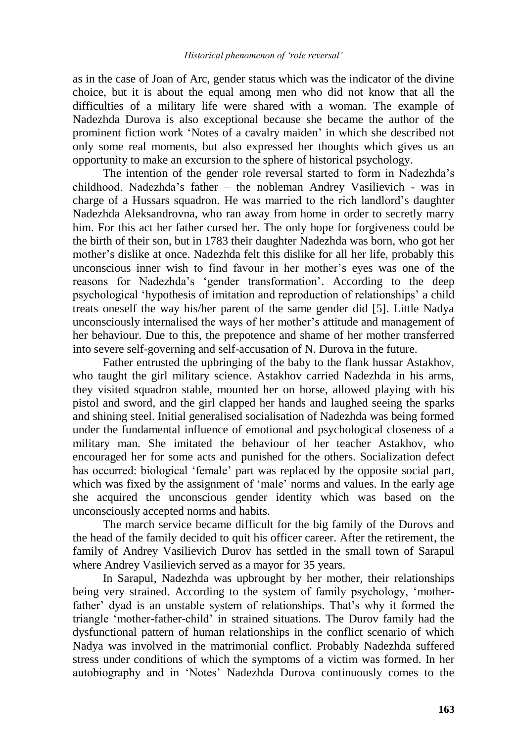as in the case of Joan of Arc, gender status which was the indicator of the divine choice, but it is about the equal among men who did not know that all the difficulties of a military life were shared with a woman. The example of Nadezhda Durova is also exceptional because she became the author of the prominent fiction work "Notes of a cavalry maiden" in which she described not only some real moments, but also expressed her thoughts which gives us an opportunity to make an excursion to the sphere of historical psychology.

The intention of the gender role reversal started to form in Nadezhda"s childhood. Nadezhda"s father – the nobleman Andrey Vasilievich - was in charge of a Hussars squadron. He was married to the rich landlord"s daughter Nadezhda Aleksandrovna, who ran away from home in order to secretly marry him. For this act her father cursed her. The only hope for forgiveness could be the birth of their son, but in 1783 their daughter Nadezhda was born, who got her mother"s dislike at once. Nadezhda felt this dislike for all her life, probably this unconscious inner wish to find favour in her mother"s eyes was one of the reasons for Nadezhda"s "gender transformation". According to the deep psychological "hypothesis of imitation and reproduction of relationships" a child treats oneself the way his/her parent of the same gender did [5]. Little Nadya unconsciously internalised the ways of her mother"s attitude and management of her behaviour. Due to this, the prepotence and shame of her mother transferred into severe self-governing and self-accusation of N. Durova in the future.

Father entrusted the upbringing of the baby to the flank hussar Astakhov, who taught the girl military science. Astakhov carried Nadezhda in his arms, they visited squadron stable, mounted her on horse, allowed playing with his pistol and sword, and the girl clapped her hands and laughed seeing the sparks and shining steel. Initial generalised socialisation of Nadezhda was being formed under the fundamental influence of emotional and psychological closeness of a military man. She imitated the behaviour of her teacher Astakhov, who encouraged her for some acts and punished for the others. Socialization defect has occurred: biological 'female' part was replaced by the opposite social part, which was fixed by the assignment of 'male' norms and values. In the early age she acquired the unconscious gender identity which was based on the unconsciously accepted norms and habits.

The march service became difficult for the big family of the Durovs and the head of the family decided to quit his officer career. After the retirement, the family of Andrey Vasilievich Durov has settled in the small town of Sarapul where Andrey Vasilievich served as a mayor for 35 years.

In Sarapul, Nadezhda was upbrought by her mother, their relationships being very strained. According to the system of family psychology, "motherfather' dyad is an unstable system of relationships. That's why it formed the triangle "mother-father-child" in strained situations. The Durov family had the dysfunctional pattern of human relationships in the conflict scenario of which Nadya was involved in the matrimonial conflict. Probably Nadezhda suffered stress under conditions of which the symptoms of a victim was formed. In her autobiography and in "Notes" Nadezhda Durova continuously comes to the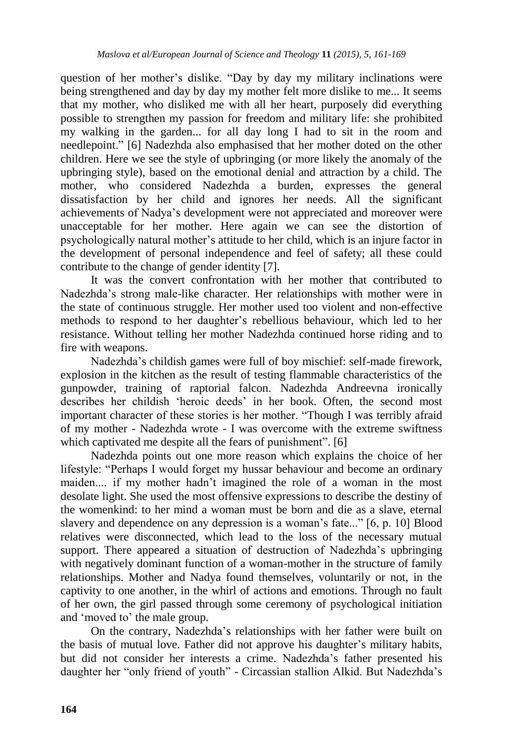question of her mother"s dislike. "Day by day my military inclinations were being strengthened and day by day my mother felt more dislike to me... It seems that my mother, who disliked me with all her heart, purposely did everything possible to strengthen my passion for freedom and military life: she prohibited my walking in the garden... for all day long I had to sit in the room and needlepoint." [6] Nadezhda also emphasised that her mother doted on the other children. Here we see the style of upbringing (or more likely the anomaly of the upbringing style), based on the emotional denial and attraction by a child. The mother, who considered Nadezhda a burden, expresses the general dissatisfaction by her child and ignores her needs. All the significant achievements of Nadya"s development were not appreciated and moreover were unacceptable for her mother. Here again we can see the distortion of psychologically natural mother"s attitude to her child, which is an injure factor in the development of personal independence and feel of safety; all these could contribute to the change of gender identity [7].

It was the convert confrontation with her mother that contributed to Nadezhda"s strong male-like character. Her relationships with mother were in the state of continuous struggle. Her mother used too violent and non-effective methods to respond to her daughter"s rebellious behaviour, which led to her resistance. Without telling her mother Nadezhda continued horse riding and to fire with weapons.

Nadezhda"s childish games were full of boy mischief: self-made firework, explosion in the kitchen as the result of testing flammable characteristics of the gunpowder, training of raptorial falcon. Nadezhda Andreevna ironically describes her childish "heroic deeds" in her book. Often, the second most important character of these stories is her mother. "Though I was terribly afraid of my mother - Nadezhda wrote - I was overcome with the extreme swiftness which captivated me despite all the fears of punishment". [6]

Nadezhda points out one more reason which explains the choice of her lifestyle: "Perhaps I would forget my hussar behaviour and become an ordinary maiden.... if my mother hadn"t imagined the role of a woman in the most desolate light. She used the most offensive expressions to describe the destiny of the womenkind: to her mind a woman must be born and die as a slave, eternal slavery and dependence on any depression is a woman's fate..." [6, p. 10] Blood relatives were disconnected, which lead to the loss of the necessary mutual support. There appeared a situation of destruction of Nadezhda's upbringing with negatively dominant function of a woman-mother in the structure of family relationships. Mother and Nadya found themselves, voluntarily or not, in the captivity to one another, in the whirl of actions and emotions. Through no fault of her own, the girl passed through some ceremony of psychological initiation and 'moved to' the male group.

On the contrary, Nadezhda"s relationships with her father were built on the basis of mutual love. Father did not approve his daughter"s military habits, but did not consider her interests a crime. Nadezhda"s father presented his daughter her "only friend of youth" - Circassian stallion Alkid. But Nadezhda"s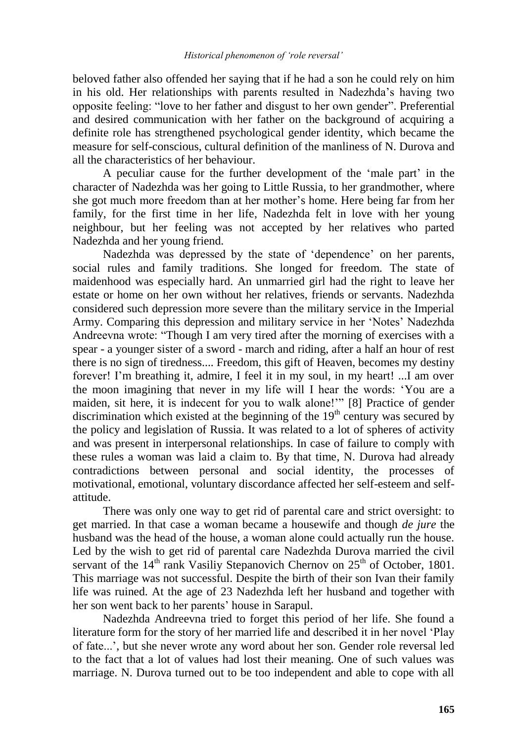beloved father also offended her saying that if he had a son he could rely on him in his old. Her relationships with parents resulted in Nadezhda"s having two opposite feeling: "love to her father and disgust to her own gender". Preferential and desired communication with her father on the background of acquiring a definite role has strengthened psychological gender identity, which became the measure for self-conscious, cultural definition of the manliness of N. Durova and all the characteristics of her behaviour.

A peculiar cause for the further development of the "male part" in the character of Nadezhda was her going to Little Russia, to her grandmother, where she got much more freedom than at her mother"s home. Here being far from her family, for the first time in her life, Nadezhda felt in love with her young neighbour, but her feeling was not accepted by her relatives who parted Nadezhda and her young friend.

Nadezhda was depressed by the state of 'dependence' on her parents, social rules and family traditions. She longed for freedom. The state of maidenhood was especially hard. An unmarried girl had the right to leave her estate or home on her own without her relatives, friends or servants. Nadezhda considered such depression more severe than the military service in the Imperial Army. Comparing this depression and military service in her "Notes" Nadezhda Andreevna wrote: "Though I am very tired after the morning of exercises with a spear - a younger sister of a sword - march and riding, after a half an hour of rest there is no sign of tiredness.... Freedom, this gift of Heaven, becomes my destiny forever! I"m breathing it, admire, I feel it in my soul, in my heart! ...I am over the moon imagining that never in my life will I hear the words: "You are a maiden, sit here, it is indecent for you to walk alone!"" [8] Practice of gender discrimination which existed at the beginning of the  $19<sup>th</sup>$  century was secured by the policy and legislation of Russia. It was related to a lot of spheres of activity and was present in interpersonal relationships. In case of failure to comply with these rules a woman was laid a claim to. By that time, N. Durova had already contradictions between personal and social identity, the processes of motivational, emotional, voluntary discordance affected her self-esteem and selfattitude.

There was only one way to get rid of parental care and strict oversight: to get married. In that case a woman became a housewife and though *de jure* the husband was the head of the house, a woman alone could actually run the house. Led by the wish to get rid of parental care Nadezhda Durova married the civil servant of the  $14<sup>th</sup>$  rank Vasiliy Stepanovich Chernov on  $25<sup>th</sup>$  of October, 1801. This marriage was not successful. Despite the birth of their son Ivan their family life was ruined. At the age of 23 Nadezhda left her husband and together with her son went back to her parents' house in Sarapul.

Nadezhda Andreevna tried to forget this period of her life. She found a literature form for the story of her married life and described it in her novel "Play of fate...", but she never wrote any word about her son. Gender role reversal led to the fact that a lot of values had lost their meaning. One of such values was marriage. N. Durova turned out to be too independent and able to cope with all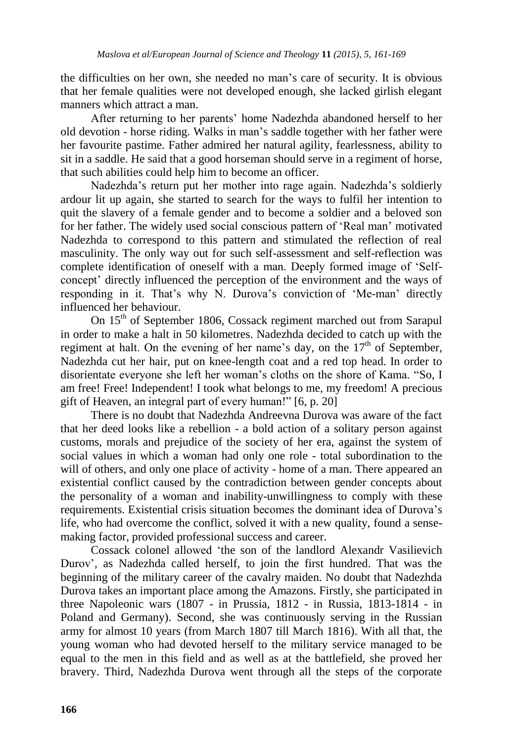the difficulties on her own, she needed no man"s care of security. It is obvious that her female qualities were not developed enough, she lacked girlish elegant manners which attract a man.

After returning to her parents" home Nadezhda abandoned herself to her old devotion - horse riding. Walks in man"s saddle together with her father were her favourite pastime. Father admired her natural agility, fearlessness, ability to sit in a saddle. He said that a good horseman should serve in a regiment of horse, that such abilities could help him to become an officer.

Nadezhda"s return put her mother into rage again. Nadezhda"s soldierly ardour lit up again, she started to search for the ways to fulfil her intention to quit the slavery of a female gender and to become a soldier and a beloved son for her father. The widely used social conscious pattern of "Real man" motivated Nadezhda to correspond to this pattern and stimulated the reflection of real masculinity. The only way out for such self-assessment and self-reflection was complete identification of oneself with a man. Deeply formed image of "Selfconcept" directly influenced the perception of the environment and the ways of responding in it. That's why N. Durova's conviction of 'Me-man' directly influenced her behaviour.

On 15<sup>th</sup> of September 1806, Cossack regiment marched out from Sarapul in order to make a halt in 50 kilometres. Nadezhda decided to catch up with the regiment at halt. On the evening of her name's day, on the  $17<sup>th</sup>$  of September, Nadezhda cut her hair, put on knee-length coat and a red top head. In order to disorientate everyone she left her woman"s cloths on the shore of Kama. "So, I am free! Free! Independent! I took what belongs to me, my freedom! A precious gift of Heaven, an integral part of every human!" [6, p. 20]

There is no doubt that Nadezhda Andreevna Durova was aware of the fact that her deed looks like a rebellion - a bold action of a solitary person against customs, morals and prejudice of the society of her era, against the system of social values in which a woman had only one role - total subordination to the will of others, and only one place of activity - home of a man. There appeared an existential conflict caused by the contradiction between gender concepts about the personality of a woman and inability-unwillingness to comply with these requirements. Existential crisis situation becomes the dominant idea of Durova"s life, who had overcome the conflict, solved it with a new quality, found a sensemaking factor, provided professional success and career.

Cossack colonel allowed "the son of the landlord Alexandr Vasilievich Durov", as Nadezhda called herself, to join the first hundred. That was the beginning of the military career of the cavalry maiden. No doubt that Nadezhda Durova takes an important place among the Amazons. Firstly, she participated in three Napoleonic wars (1807 - in Prussia, 1812 - in Russia, 1813-1814 - in Poland and Germany). Second, she was continuously serving in the Russian army for almost 10 years (from March 1807 till March 1816). With all that, the young woman who had devoted herself to the military service managed to be equal to the men in this field and as well as at the battlefield, she proved her bravery. Third, Nadezhda Durova went through all the steps of the corporate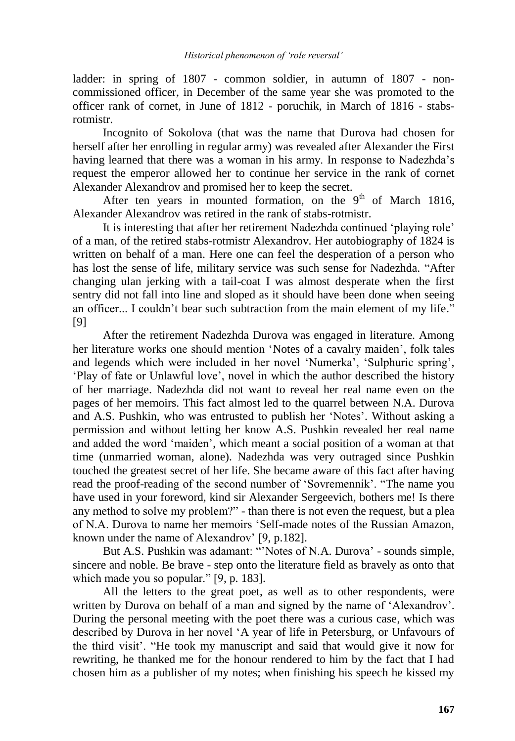ladder: in spring of 1807 - common soldier, in autumn of 1807 - noncommissioned officer, in December of the same year she was promoted to the officer rank of cornet, in June of 1812 - poruchik, in March of 1816 - stabsrotmistr.

Incognito of Sokolova (that was the name that Durova had chosen for herself after her enrolling in regular army) was revealed after Alexander the First having learned that there was a woman in his army. In response to Nadezhda's request the emperor allowed her to continue her service in the rank of cornet Alexander Alexandrov and promised her to keep the secret.

After ten years in mounted formation, on the  $9<sup>th</sup>$  of March 1816, Alexander Alexandrov was retired in the rank of stabs-rotmistr.

It is interesting that after her retirement Nadezhda continued "playing role" of a man, of the retired stabs-rotmistr Alexandrov. Her autobiography of 1824 is written on behalf of a man. Here one can feel the desperation of a person who has lost the sense of life, military service was such sense for Nadezhda. "After changing ulan jerking with a tail-coat I was almost desperate when the first sentry did not fall into line and sloped as it should have been done when seeing an officer... I couldn't bear such subtraction from the main element of my life." [9]

After the retirement Nadezhda Durova was engaged in literature. Among her literature works one should mention "Notes of a cavalry maiden", folk tales and legends which were included in her novel 'Numerka', 'Sulphuric spring', "Play of fate or Unlawful love", novel in which the author described the history of her marriage. Nadezhda did not want to reveal her real name even on the pages of her memoirs. This fact almost led to the quarrel between N.A. Durova and A.S. Pushkin, who was entrusted to publish her 'Notes'. Without asking a permission and without letting her know A.S. Pushkin revealed her real name and added the word "maiden", which meant a social position of a woman at that time (unmarried woman, alone). Nadezhda was very outraged since Pushkin touched the greatest secret of her life. She became aware of this fact after having read the proof-reading of the second number of "Sovremennik". "The name you have used in your foreword, kind sir Alexander Sergeevich, bothers me! Is there any method to solve my problem?" - than there is not even the request, but a plea of N.A. Durova to name her memoirs "Self-made notes of the Russian Amazon, known under the name of Alexandrov" [9, p.182].

But A.S. Pushkin was adamant: "Notes of N.A. Durova' - sounds simple, sincere and noble. Be brave - step onto the literature field as bravely as onto that which made you so popular." [9, p. 183].

All the letters to the great poet, as well as to other respondents, were written by Durova on behalf of a man and signed by the name of 'Alexandrov'. During the personal meeting with the poet there was a curious case, which was described by Durova in her novel "A year of life in Petersburg, or Unfavours of the third visit". "He took my manuscript and said that would give it now for rewriting, he thanked me for the honour rendered to him by the fact that I had chosen him as a publisher of my notes; when finishing his speech he kissed my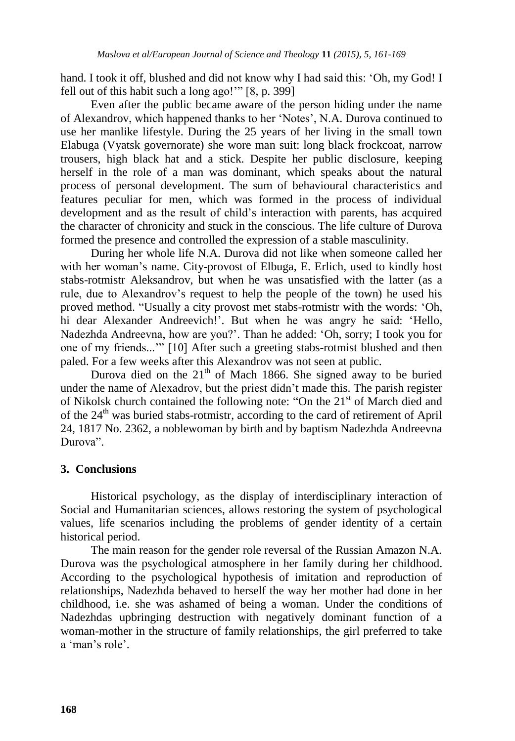hand. I took it off, blushed and did not know why I had said this: 'Oh, my God! I fell out of this habit such a long ago!"" [8, p. 399]

Even after the public became aware of the person hiding under the name of Alexandrov, which happened thanks to her "Notes", N.A. Durova continued to use her manlike lifestyle. During the 25 years of her living in the small town Elabuga (Vyatsk governorate) she wore man suit: long black frockcoat, narrow trousers, high black hat and a stick. Despite her public disclosure, keeping herself in the role of a man was dominant, which speaks about the natural process of personal development. The sum of behavioural characteristics and features peculiar for men, which was formed in the process of individual development and as the result of child"s interaction with parents, has acquired the character of chronicity and stuck in the conscious. The life culture of Durova formed the presence and controlled the expression of a stable masculinity.

During her whole life N.A. Durova did not like when someone called her with her woman's name. City-provost of Elbuga, E. Erlich, used to kindly host stabs-rotmistr Aleksandrov, but when he was unsatisfied with the latter (as a rule, due to Alexandrov"s request to help the people of the town) he used his proved method. "Usually a city provost met stabs-rotmistr with the words: "Oh, hi dear Alexander Andreevich!'. But when he was angry he said: 'Hello, Nadezhda Andreevna, how are you?". Than he added: "Oh, sorry; I took you for one of my friends..."" [10] After such a greeting stabs-rotmist blushed and then paled. For a few weeks after this Alexandrov was not seen at public.

Durova died on the  $21<sup>th</sup>$  of Mach 1866. She signed away to be buried under the name of Alexadrov, but the priest didn"t made this. The parish register of Nikolsk church contained the following note: "On the 21<sup>st</sup> of March died and of the 24<sup>th</sup> was buried stabs-rotmistr, according to the card of retirement of April 24, 1817 No. 2362, a noblewoman by birth and by baptism Nadezhda Andreevna Durova".

## **3. Conclusions**

Historical psychology, as the display of interdisciplinary interaction of Social and Humanitarian sciences, allows restoring the system of psychological values, life scenarios including the problems of gender identity of a certain historical period.

The main reason for the gender role reversal of the Russian Amazon N.A. Durova was the psychological atmosphere in her family during her childhood. According to the psychological hypothesis of imitation and reproduction of relationships, Nadezhda behaved to herself the way her mother had done in her childhood, i.e. she was ashamed of being a woman. Under the conditions of Nadezhdas upbringing destruction with negatively dominant function of a woman-mother in the structure of family relationships, the girl preferred to take a 'man's role'.